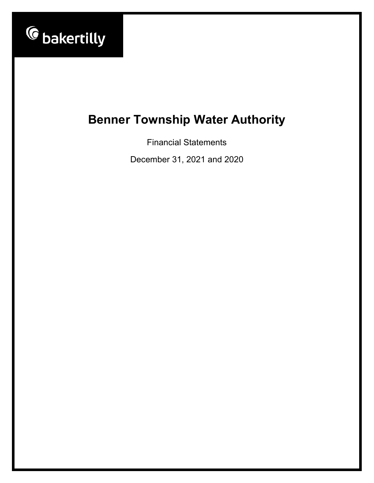

Financial Statements

December 31, 2021 and 2020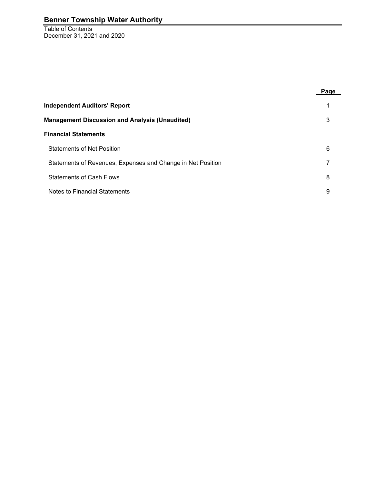Table of Contents December 31, 2021 and 2020

|                                                             | Page |
|-------------------------------------------------------------|------|
| <b>Independent Auditors' Report</b>                         |      |
| <b>Management Discussion and Analysis (Unaudited)</b>       | 3    |
| <b>Financial Statements</b>                                 |      |
| <b>Statements of Net Position</b>                           | 6    |
| Statements of Revenues, Expenses and Change in Net Position |      |
| <b>Statements of Cash Flows</b>                             | 8    |
| Notes to Financial Statements                               | 9    |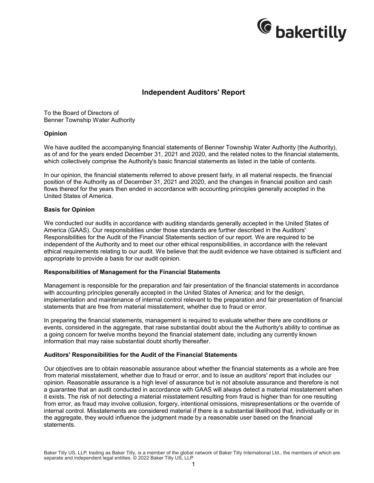

### **Independent Auditors' Report**

To the Board of Directors of Benner Township Water Authority

### **Opinion**

We have audited the accompanying financial statements of Benner Township Water Authority (the Authority), as of and for the years ended December 31, 2021 and 2020, and the related notes to the financial statements, which collectively comprise the Authority's basic financial statements as listed in the table of contents.

In our opinion, the financial statements referred to above present fairly, in all material respects, the financial position of the Authority as of December 31, 2021 and 2020, and the changes in financial position and cash flows thereof for the years then ended in accordance with accounting principles generally accepted in the United States of America.

### **Basis for Opinion**

We conducted our audits in accordance with auditing standards generally accepted in the United States of America (GAAS). Our responsibilities under those standards are further described in the Auditors' Responsibilities for the Audit of the Financial Statements section of our report. We are required to be independent of the Authority and to meet our other ethical responsibilities, in accordance with the relevant ethical requirements relating to our audit. We believe that the audit evidence we have obtained is sufficient and appropriate to provide a basis for our audit opinion.

### **Responsibilities of Management for the Financial Statements**

Management is responsible for the preparation and fair presentation of the financial statements in accordance with accounting principles generally accepted in the United States of America; and for the design, implementation and maintenance of internal control relevant to the preparation and fair presentation of financial statements that are free from material misstatement, whether due to fraud or error.

In preparing the financial statements, management is required to evaluate whether there are conditions or events, considered in the aggregate, that raise substantial doubt about the the Authority's ability to continue as a going concern for twelve months beyond the financial statement date, including any currently known information that may raise substantial doubt shortly thereafter.

### **Auditors' Responsibilities for the Audit of the Financial Statements**

Our objectives are to obtain reasonable assurance about whether the financial statements as a whole are free from material misstatement, whether due to fraud or error, and to issue an auditors' report that includes our opinion. Reasonable assurance is a high level of assurance but is not absolute assurance and therefore is not a guarantee that an audit conducted in accordance with GAAS will always detect a material misstatement when it exists. The risk of not detecting a material misstatement resulting from fraud is higher than for one resulting from error, as fraud may involve collusion, forgery, intentional omissions, misrepresentations or the override of internal control. Misstatements are considered material if there is a substantial likelihood that, individually or in the aggregate, they would influence the judgment made by a reasonable user based on the financial statements.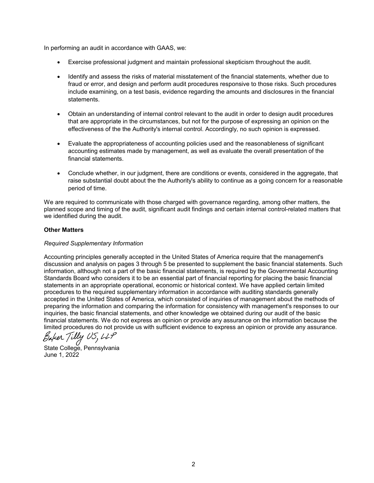In performing an audit in accordance with GAAS, we:

- Exercise professional judgment and maintain professional skepticism throughout the audit.
- Identify and assess the risks of material misstatement of the financial statements, whether due to fraud or error, and design and perform audit procedures responsive to those risks. Such procedures include examining, on a test basis, evidence regarding the amounts and disclosures in the financial statements.
- Obtain an understanding of internal control relevant to the audit in order to design audit procedures that are appropriate in the circumstances, but not for the purpose of expressing an opinion on the effectiveness of the the Authority's internal control. Accordingly, no such opinion is expressed.
- Evaluate the appropriateness of accounting policies used and the reasonableness of significant accounting estimates made by management, as well as evaluate the overall presentation of the financial statements.
- Conclude whether, in our judgment, there are conditions or events, considered in the aggregate, that raise substantial doubt about the the Authority's ability to continue as a going concern for a reasonable period of time.

We are required to communicate with those charged with governance regarding, among other matters, the planned scope and timing of the audit, significant audit findings and certain internal control-related matters that we identified during the audit.

### **Other Matters**

### *Required Supplementary Information*

Accounting principles generally accepted in the United States of America require that the management's discussion and analysis on pages 3 through 5 be presented to supplement the basic financial statements. Such information, although not a part of the basic financial statements, is required by the Governmental Accounting Standards Board who considers it to be an essential part of financial reporting for placing the basic financial statements in an appropriate operational, economic or historical context. We have applied certain limited procedures to the required supplementary information in accordance with auditing standards generally accepted in the United States of America, which consisted of inquiries of management about the methods of preparing the information and comparing the information for consistency with management's responses to our inquiries, the basic financial statements, and other knowledge we obtained during our audit of the basic financial statements. We do not express an opinion or provide any assurance on the information because the limited procedures do not provide us with sufficient evidence to express an opinion or provide any assurance.

*Baker Tilly US, LLP*<br>State College, Pennsylvania

June 1, 2022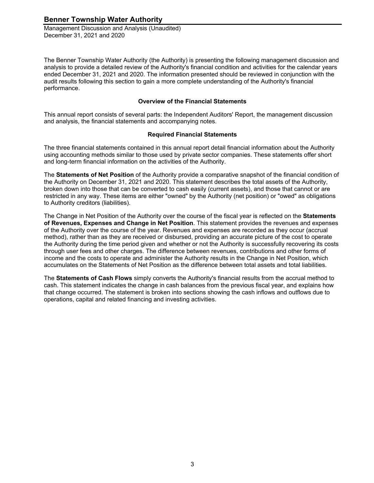Management Discussion and Analysis (Unaudited) December 31, 2021 and 2020

The Benner Township Water Authority (the Authority) is presenting the following management discussion and analysis to provide a detailed review of the Authority's financial condition and activities for the calendar years ended December 31, 2021 and 2020. The information presented should be reviewed in conjunction with the audit results following this section to gain a more complete understanding of the Authority's financial performance.

### **Overview of the Financial Statements**

This annual report consists of several parts: the Independent Auditors' Report, the management discussion and analysis, the financial statements and accompanying notes.

### **Required Financial Statements**

The three financial statements contained in this annual report detail financial information about the Authority using accounting methods similar to those used by private sector companies. These statements offer short and long-term financial information on the activities of the Authority.

The **Statements of Net Position** of the Authority provide a comparative snapshot of the financial condition of the Authority on December 31, 2021 and 2020. This statement describes the total assets of the Authority, broken down into those that can be converted to cash easily (current assets), and those that cannot or are restricted in any way. These items are either "owned" by the Authority (net position) or "owed" as obligations to Authority creditors (liabilities).

The Change in Net Position of the Authority over the course of the fiscal year is reflected on the **Statements of Revenues, Expenses and Change in Net Position**. This statement provides the revenues and expenses of the Authority over the course of the year. Revenues and expenses are recorded as they occur (accrual method), rather than as they are received or disbursed, providing an accurate picture of the cost to operate the Authority during the time period given and whether or not the Authority is successfully recovering its costs through user fees and other charges. The difference between revenues, contributions and other forms of income and the costs to operate and administer the Authority results in the Change in Net Position, which accumulates on the Statements of Net Position as the difference between total assets and total liabilities.

The **Statements of Cash Flows** simply converts the Authority's financial results from the accrual method to cash. This statement indicates the change in cash balances from the previous fiscal year, and explains how that change occurred. The statement is broken into sections showing the cash inflows and outflows due to operations, capital and related financing and investing activities.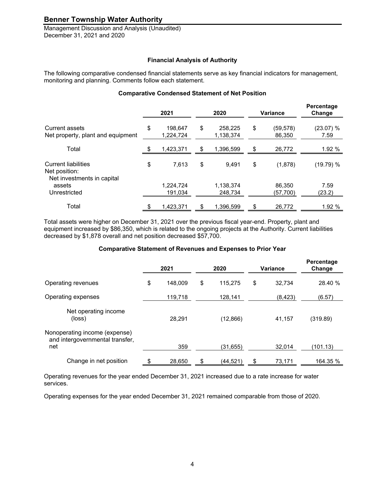Management Discussion and Analysis (Unaudited) December 31, 2021 and 2020

### **Financial Analysis of Authority**

The following comparative condensed financial statements serve as key financial indicators for management, monitoring and planning. Comments follow each statement.

### **Comparative Condensed Statement of Net Position**

|                                                                           | 2021                       |    | 2020                 | <b>Variance</b>           | Percentage<br>Change |
|---------------------------------------------------------------------------|----------------------------|----|----------------------|---------------------------|----------------------|
| <b>Current assets</b><br>Net property, plant and equipment                | \$<br>198,647<br>1,224,724 | \$ | 258,225<br>1,138,374 | \$<br>(59, 578)<br>86,350 | $(23.07)$ %<br>7.59  |
| Total                                                                     | \$<br>1,423,371            | \$ | 1,396,599            | \$<br>26,772              | 1.92 %               |
| <b>Current liabilities</b><br>Net position:<br>Net investments in capital | \$<br>7,613                | \$ | 9.491                | \$<br>(1,878)             | (19.79) %            |
| assets<br>Unrestricted                                                    | 1,224,724<br>191,034       |    | 1,138,374<br>248,734 | 86.350<br>(57, 700)       | 7.59<br>(23.2)       |
| Total                                                                     | \$<br>1,423,371            | S  | 1.396.599            | \$<br>26.772              | 1.92 %               |

Total assets were higher on December 31, 2021 over the previous fiscal year-end. Property, plant and equipment increased by \$86,350, which is related to the ongoing projects at the Authority. Current liabilities decreased by \$1,878 overall and net position decreased \$57,700.

### **Comparative Statement of Revenues and Expenses to Prior Year**

|                                                                         | 2021          | 2020           | <b>Variance</b> | Percentage<br>Change |
|-------------------------------------------------------------------------|---------------|----------------|-----------------|----------------------|
| Operating revenues                                                      | \$<br>148.009 | \$<br>115,275  | \$<br>32.734    | 28.40 %              |
| Operating expenses                                                      | 119,718       | 128,141        | (8, 423)        | (6.57)               |
| Net operating income<br>(loss)                                          | 28.291        | (12, 866)      | 41,157          | (319.89)             |
| Nonoperating income (expense)<br>and intergovernmental transfer,<br>net | 359           | (31, 655)      | 32.014          | (101.13)             |
| Change in net position                                                  | \$<br>28.650  | \$<br>(44,521) | \$<br>73.171    | 164.35 %             |

Operating revenues for the year ended December 31, 2021 increased due to a rate increase for water services.

Operating expenses for the year ended December 31, 2021 remained comparable from those of 2020.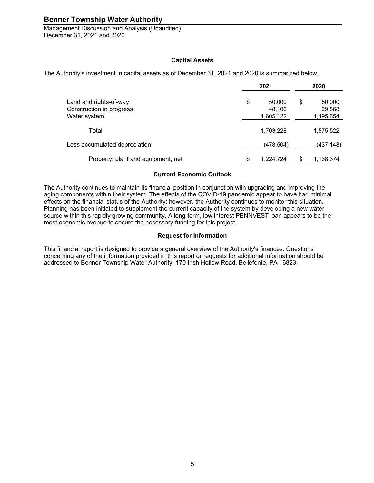Management Discussion and Analysis (Unaudited) December 31, 2021 and 2020

### **Capital Assets**

The Authority's investment in capital assets as of December 31, 2021 and 2020 is summarized below.

|                                                                    |    | 2020                          |    |                               |
|--------------------------------------------------------------------|----|-------------------------------|----|-------------------------------|
| Land and rights-of-way<br>Construction in progress<br>Water system | \$ | 50,000<br>48,106<br>1,605,122 | \$ | 50,000<br>29,868<br>1,495,654 |
| Total                                                              |    | 1,703,228                     |    | 1,575,522                     |
| Less accumulated depreciation                                      |    | (478, 504)                    |    | (437,148)                     |
| Property, plant and equipment, net                                 | \$ | 1,224,724                     | \$ | 1,138,374                     |

### **Current Economic Outlook**

The Authority continues to maintain its financial position in conjunction with upgrading and improving the aging components within their system. The effects of the COVID-19 pandemic appear to have had minimal effects on the financial status of the Authority; however, the Authority continues to monitor this situation. Planning has been initiated to supplement the current capacity of the system by developing a new water source within this rapidly growing community. A long-term, low interest PENNVEST loan appears to be the most economic avenue to secure the necessary funding for this project.

### **Request for Information**

This financial report is designed to provide a general overview of the Authority's finances. Questions concerning any of the information provided in this report or requests for additional information should be addressed to Benner Township Water Authority, 170 Irish Hollow Road, Bellefonte, PA 16823.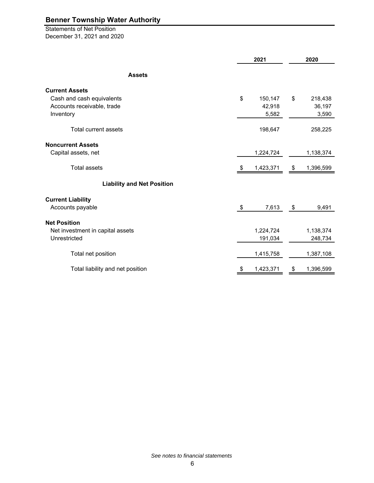Statements of Net Position December 31, 2021 and 2020

|                                   |     | 2021      | 2020            |
|-----------------------------------|-----|-----------|-----------------|
| <b>Assets</b>                     |     |           |                 |
| <b>Current Assets</b>             |     |           |                 |
| Cash and cash equivalents         | \$  | 150,147   | \$<br>218,438   |
| Accounts receivable, trade        |     | 42,918    | 36,197          |
| Inventory                         |     | 5,582     | 3,590           |
| <b>Total current assets</b>       |     | 198,647   | 258,225         |
| <b>Noncurrent Assets</b>          |     |           |                 |
| Capital assets, net               |     | 1,224,724 | 1,138,374       |
| <b>Total assets</b>               | \$. | 1,423,371 | \$<br>1,396,599 |
| <b>Liability and Net Position</b> |     |           |                 |
| <b>Current Liability</b>          |     |           |                 |
| Accounts payable                  | \$  | 7,613     | \$<br>9,491     |
| <b>Net Position</b>               |     |           |                 |
| Net investment in capital assets  |     | 1,224,724 | 1,138,374       |
| Unrestricted                      |     | 191,034   | 248,734         |
| Total net position                |     | 1,415,758 | 1,387,108       |
| Total liability and net position  | \$  | 1,423,371 | \$<br>1,396,599 |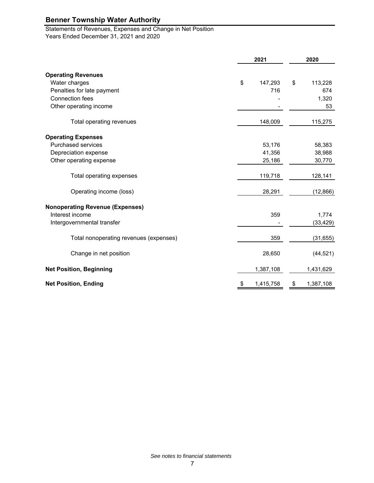Statements of Revenues, Expenses and Change in Net Position Years Ended December 31, 2021 and 2020

|                                        |    | 2020      |    |           |
|----------------------------------------|----|-----------|----|-----------|
|                                        |    |           |    |           |
| <b>Operating Revenues</b>              |    |           |    |           |
| Water charges                          | \$ | 147,293   | \$ | 113,228   |
| Penalties for late payment             |    | 716       |    | 674       |
| Connection fees                        |    |           |    | 1,320     |
| Other operating income                 |    |           |    | 53        |
| Total operating revenues               |    | 148,009   |    | 115,275   |
| <b>Operating Expenses</b>              |    |           |    |           |
| <b>Purchased services</b>              |    | 53,176    |    | 58,383    |
| Depreciation expense                   |    | 41,356    |    | 38,988    |
| Other operating expense                |    | 25,186    |    | 30,770    |
| Total operating expenses               |    | 119,718   |    | 128,141   |
| Operating income (loss)                |    | 28,291    |    | (12, 866) |
| <b>Nonoperating Revenue (Expenses)</b> |    |           |    |           |
| Interest income                        |    | 359       |    | 1,774     |
| Intergovernmental transfer             |    |           |    | (33, 429) |
| Total nonoperating revenues (expenses) |    | 359       |    | (31, 655) |
| Change in net position                 |    | 28,650    |    | (44, 521) |
| <b>Net Position, Beginning</b>         |    | 1,387,108 |    | 1,431,629 |
| <b>Net Position, Ending</b>            | \$ | 1,415,758 | \$ | 1,387,108 |

*See notes to financial statements*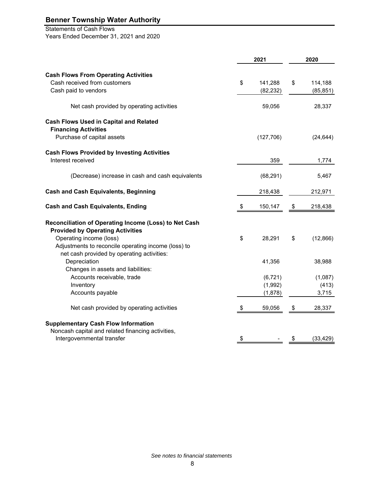# Statements of Cash Flows

Years Ended December 31, 2021 and 2020

|                                                       | 2021          | 2020 |           |
|-------------------------------------------------------|---------------|------|-----------|
| <b>Cash Flows From Operating Activities</b>           |               |      |           |
| Cash received from customers                          | \$<br>141,288 | \$   | 114,188   |
| Cash paid to vendors                                  | (82, 232)     |      | (85, 851) |
|                                                       |               |      |           |
| Net cash provided by operating activities             | 59,056        |      | 28,337    |
| <b>Cash Flows Used in Capital and Related</b>         |               |      |           |
| <b>Financing Activities</b>                           |               |      |           |
| Purchase of capital assets                            | (127, 706)    |      | (24, 644) |
| <b>Cash Flows Provided by Investing Activities</b>    |               |      |           |
| Interest received                                     | 359           |      | 1,774     |
| (Decrease) increase in cash and cash equivalents      | (68, 291)     |      | 5,467     |
| <b>Cash and Cash Equivalents, Beginning</b>           | 218,438       |      | 212,971   |
| <b>Cash and Cash Equivalents, Ending</b>              | 150,147       | \$   | 218,438   |
| Reconciliation of Operating Income (Loss) to Net Cash |               |      |           |
| <b>Provided by Operating Activities</b>               |               |      |           |
| Operating income (loss)                               | \$<br>28,291  | \$   | (12, 866) |
| Adjustments to reconcile operating income (loss) to   |               |      |           |
| net cash provided by operating activities:            |               |      |           |
| Depreciation                                          | 41,356        |      | 38,988    |
| Changes in assets and liabilities:                    |               |      |           |
| Accounts receivable, trade                            | (6, 721)      |      | (1,087)   |
| Inventory                                             | (1,992)       |      | (413)     |
| Accounts payable                                      | (1,878)       |      | 3,715     |
| Net cash provided by operating activities             | \$<br>59,056  | \$   | 28,337    |
| <b>Supplementary Cash Flow Information</b>            |               |      |           |
| Noncash capital and related financing activities,     |               |      |           |
| Intergovernmental transfer                            | \$            | \$   | (33, 429) |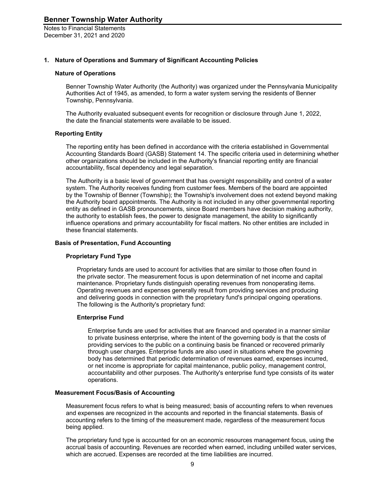Notes to Financial Statements December 31, 2021 and 2020

### **1. Nature of Operations and Summary of Significant Accounting Policies**

#### **Nature of Operations**

Benner Township Water Authority (the Authority) was organized under the Pennsylvania Municipality Authorities Act of 1945, as amended, to form a water system serving the residents of Benner Township, Pennsylvania.

The Authority evaluated subsequent events for recognition or disclosure through June 1, 2022, the date the financial statements were available to be issued.

### **Reporting Entity**

The reporting entity has been defined in accordance with the criteria established in Governmental Accounting Standards Board (GASB) Statement 14. The specific criteria used in determining whether other organizations should be included in the Authority's financial reporting entity are financial accountability, fiscal dependency and legal separation.

The Authority is a basic level of government that has oversight responsibility and control of a water system. The Authority receives funding from customer fees. Members of the board are appointed by the Township of Benner (Township); the Township's involvement does not extend beyond making the Authority board appointments. The Authority is not included in any other governmental reporting entity as defined in GASB pronouncements, since Board members have decision making authority, the authority to establish fees, the power to designate management, the ability to significantly influence operations and primary accountability for fiscal matters. No other entities are included in these financial statements.

### **Basis of Presentation, Fund Accounting**

### **Proprietary Fund Type**

Proprietary funds are used to account for activities that are similar to those often found in the private sector. The measurement focus is upon determination of net income and capital maintenance. Proprietary funds distinguish operating revenues from nonoperating items. Operating revenues and expenses generally result from providing services and producing and delivering goods in connection with the proprietary fund's principal ongoing operations. The following is the Authority's proprietary fund:

### **Enterprise Fund**

Enterprise funds are used for activities that are financed and operated in a manner similar to private business enterprise, where the intent of the governing body is that the costs of providing services to the public on a continuing basis be financed or recovered primarily through user charges. Enterprise funds are also used in situations where the governing body has determined that periodic determination of revenues earned, expenses incurred, or net income is appropriate for capital maintenance, public policy, management control, accountability and other purposes. The Authority's enterprise fund type consists of its water operations.

#### **Measurement Focus/Basis of Accounting**

Measurement focus refers to what is being measured; basis of accounting refers to when revenues and expenses are recognized in the accounts and reported in the financial statements. Basis of accounting refers to the timing of the measurement made, regardless of the measurement focus being applied.

The proprietary fund type is accounted for on an economic resources management focus, using the accrual basis of accounting. Revenues are recorded when earned, including unbilled water services, which are accrued. Expenses are recorded at the time liabilities are incurred.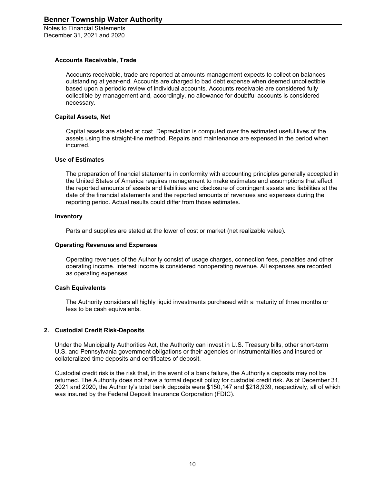Notes to Financial Statements December 31, 2021 and 2020

### **Accounts Receivable, Trade**

Accounts receivable, trade are reported at amounts management expects to collect on balances outstanding at year-end. Accounts are charged to bad debt expense when deemed uncollectible based upon a periodic review of individual accounts. Accounts receivable are considered fully collectible by management and, accordingly, no allowance for doubtful accounts is considered necessary.

### **Capital Assets, Net**

Capital assets are stated at cost. Depreciation is computed over the estimated useful lives of the assets using the straight-line method. Repairs and maintenance are expensed in the period when incurred.

### **Use of Estimates**

The preparation of financial statements in conformity with accounting principles generally accepted in the United States of America requires management to make estimates and assumptions that affect the reported amounts of assets and liabilities and disclosure of contingent assets and liabilities at the date of the financial statements and the reported amounts of revenues and expenses during the reporting period. Actual results could differ from those estimates.

### **Inventory**

Parts and supplies are stated at the lower of cost or market (net realizable value).

### **Operating Revenues and Expenses**

Operating revenues of the Authority consist of usage charges, connection fees, penalties and other operating income. Interest income is considered nonoperating revenue. All expenses are recorded as operating expenses.

### **Cash Equivalents**

The Authority considers all highly liquid investments purchased with a maturity of three months or less to be cash equivalents.

### **2. Custodial Credit Risk-Deposits**

Under the Municipality Authorities Act, the Authority can invest in U.S. Treasury bills, other short-term U.S. and Pennsylvania government obligations or their agencies or instrumentalities and insured or collateralized time deposits and certificates of deposit.

Custodial credit risk is the risk that, in the event of a bank failure, the Authority's deposits may not be returned. The Authority does not have a formal deposit policy for custodial credit risk. As of December 31, 2021 and 2020, the Authority's total bank deposits were \$150,147 and \$218,939, respectively, all of which was insured by the Federal Deposit Insurance Corporation (FDIC).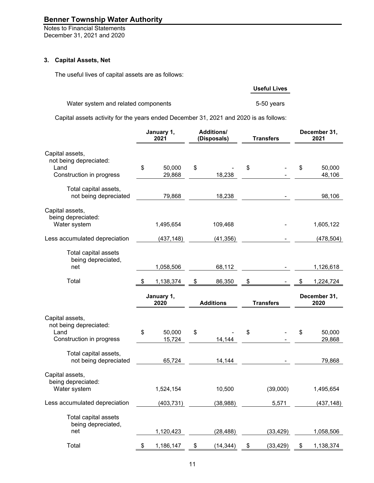Notes to Financial Statements December 31, 2021 and 2020

### **3. Capital Assets, Net**

The useful lives of capital assets are as follows:

|                                     | <b>Useful Lives</b>       |
|-------------------------------------|---------------------------|
| Water system and related components | 5-50 years                |
|                                     | - -<br>_ _ _ _ _ _ .<br>. |

Capital assets activity for the years ended December 31, 2021 and 2020 is as follows:

|                                                                                                        | January 1,<br>2021 |                     | <b>Additions/</b><br>(Disposals) |                  | <b>Transfers</b> | December 31,<br>2021   |
|--------------------------------------------------------------------------------------------------------|--------------------|---------------------|----------------------------------|------------------|------------------|------------------------|
| Capital assets,<br>not being depreciated:<br>Land<br>Construction in progress                          | \$                 | 50,000<br>29,868    | \$                               | 18,238           | \$               | \$<br>50,000<br>48,106 |
| Total capital assets,<br>not being depreciated                                                         |                    | 79,868              |                                  | 18,238           |                  | 98,106                 |
| Capital assets,<br>being depreciated:<br>Water system                                                  |                    | 1,495,654           |                                  | 109,468          |                  | 1,605,122              |
| Less accumulated depreciation                                                                          |                    | (437, 148)          |                                  | (41, 356)        |                  | (478, 504)             |
| Total capital assets<br>being depreciated,<br>net                                                      |                    | 1,058,506           |                                  | 68,112           |                  | 1,126,618              |
| Total                                                                                                  |                    | 1,138,374           | \$                               | 86,350           | \$               | \$<br>1,224,724        |
|                                                                                                        |                    |                     |                                  |                  |                  |                        |
|                                                                                                        |                    | January 1,<br>2020  |                                  | <b>Additions</b> | <b>Transfers</b> | December 31,<br>2020   |
| Capital assets,<br>not being depreciated:<br>Land<br>Construction in progress<br>Total capital assets, | \$                 | 50,000<br>15,724    | \$                               | 14,144           | \$               | \$<br>50,000<br>29,868 |
| not being depreciated<br>Capital assets,<br>being depreciated:<br>Water system                         |                    | 65,724<br>1,524,154 |                                  | 14,144<br>10,500 | (39,000)         | 79,868<br>1,495,654    |
| Less accumulated depreciation                                                                          |                    | (403, 731)          |                                  | (38, 988)        | 5,571            | (437, 148)             |
| Total capital assets<br>being depreciated,<br>net                                                      |                    | 1,120,423           |                                  | (28, 488)        | (33, 429)        | 1,058,506              |